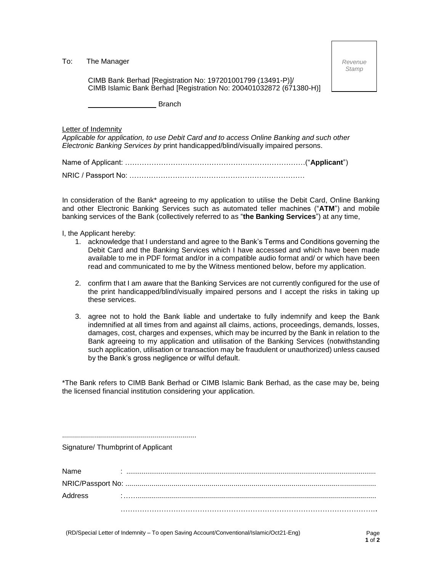To: The Manager

*Revenue Stamp*

CIMB Bank Berhad [Registration No: 197201001799 (13491-P)]/ CIMB Islamic Bank Berhad [Registration No: 200401032872 (671380-H)]

Branch

Letter of Indemnity

*Applicable for application, to use Debit Card and to access Online Banking and such other Electronic Banking Services by* print handicapped/blind/visually impaired persons.

Name of Applicant: …………………………………………………………………("**Applicant**")

NRIC / Passport No: ……………………………………………………………….

In consideration of the Bank\* agreeing to my application to utilise the Debit Card, Online Banking and other Electronic Banking Services such as automated teller machines ("**ATM**") and mobile banking services of the Bank (collectively referred to as "**the Banking Services**") at any time,

I, the Applicant hereby:

- 1. acknowledge that I understand and agree to the Bank's Terms and Conditions governing the Debit Card and the Banking Services which I have accessed and which have been made available to me in PDF format and/or in a compatible audio format and/ or which have been read and communicated to me by the Witness mentioned below, before my application.
- 2. confirm that I am aware that the Banking Services are not currently configured for the use of the print handicapped/blind/visually impaired persons and I accept the risks in taking up these services.
- 3. agree not to hold the Bank liable and undertake to fully indemnify and keep the Bank indemnified at all times from and against all claims, actions, proceedings, demands, losses, damages, cost, charges and expenses, which may be incurred by the Bank in relation to the Bank agreeing to my application and utilisation of the Banking Services (notwithstanding such application, utilisation or transaction may be fraudulent or unauthorized) unless caused by the Bank's gross negligence or wilful default.

\*The Bank refers to CIMB Bank Berhad or CIMB Islamic Bank Berhad, as the case may be, being the licensed financial institution considering your application.

...................................................................

Signature/ Thumbprint of Applicant

| Name    |  |
|---------|--|
|         |  |
| Address |  |
|         |  |